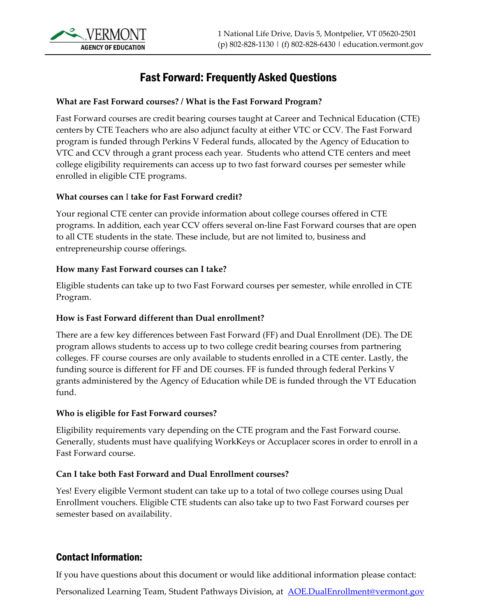# Fast Forward: Frequently Asked Questions

#### **What are Fast Forward courses? / What is the Fast Forward Program?**

Fast Forward courses are credit bearing courses taught at Career and Technical Education (CTE) centers by CTE Teachers who are also adjunct faculty at either VTC or CCV. The Fast Forward program is funded through Perkins V Federal funds, allocated by the Agency of Education to VTC and CCV through a grant process each year. Students who attend CTE centers and meet college eligibility requirements can access up to two fast forward courses per semester while enrolled in eligible CTE programs.

#### **What courses can** I **take for Fast Forward credit?**

Your regional CTE center can provide information about college courses offered in CTE programs. In addition, each year CCV offers several on-line Fast Forward courses that are open to all CTE students in the state. These include, but are not limited to, business and entrepreneurship course offerings.

#### **How many Fast Forward courses can I take?**

Eligible students can take up to two Fast Forward courses per semester, while enrolled in CTE Program.

#### **How is Fast Forward different than Dual enrollment?**

There are a few key differences between Fast Forward (FF) and Dual Enrollment (DE). The DE program allows students to access up to two college credit bearing courses from partnering colleges. FF course courses are only available to students enrolled in a CTE center. Lastly, the funding source is different for FF and DE courses. FF is funded through federal Perkins V grants administered by the Agency of Education while DE is funded through the VT Education fund.

#### **Who is eligible for Fast Forward courses?**

Eligibility requirements vary depending on the CTE program and the Fast Forward course. Generally, students must have qualifying WorkKeys or Accuplacer scores in order to enroll in a Fast Forward course.

#### **Can I take both Fast Forward and Dual Enrollment courses?**

Yes! Every eligible Vermont student can take up to a total of two college courses using Dual Enrollment vouchers. Eligible CTE students can also take up to two Fast Forward courses per semester based on availability.

## Contact Information:

If you have questions about this document or would like additional information please contact:

Personalized Learning Team, Student Pathways Division, at **[AOE.DualEnrollment@vermont.gov](mailto:AOE.DualEnrollment@vermont.gov)**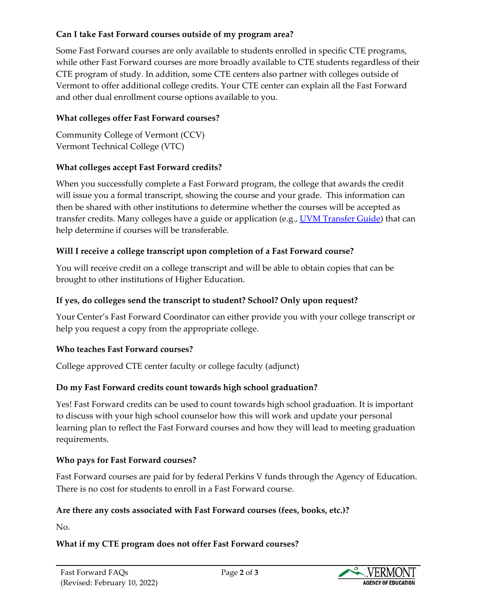### **Can I take Fast Forward courses outside of my program area?**

Some Fast Forward courses are only available to students enrolled in specific CTE programs, while other Fast Forward courses are more broadly available to CTE students regardless of their CTE program of study. In addition, some CTE centers also partner with colleges outside of Vermont to offer additional college credits. Your CTE center can explain all the Fast Forward and other dual enrollment course options available to you.

# **What colleges offer Fast Forward courses?**

Community College of Vermont (CCV) Vermont Technical College (VTC)

# **What colleges accept Fast Forward credits?**

When you successfully complete a Fast Forward program, the college that awards the credit will issue you a formal transcript, showing the course and your grade. This information can then be shared with other institutions to determine whether the courses will be accepted as transfer credits. Many colleges have a guide or application (e.g., [UVM Transfer Guide\)](https://www.uvm.edu/registrar/transfer-guide) that can help determine if courses will be transferable.

# **Will I receive a college transcript upon completion of a Fast Forward course?**

You will receive credit on a college transcript and will be able to obtain copies that can be brought to other institutions of Higher Education.

## **If yes, do colleges send the transcript to student? School? Only upon request?**

Your Center's Fast Forward Coordinator can either provide you with your college transcript or help you request a copy from the appropriate college.

## **Who teaches Fast Forward courses?**

College approved CTE center faculty or college faculty (adjunct)

# **Do my Fast Forward credits count towards high school graduation?**

Yes! Fast Forward credits can be used to count towards high school graduation. It is important to discuss with your high school counselor how this will work and update your personal learning plan to reflect the Fast Forward courses and how they will lead to meeting graduation requirements.

## **Who pays for Fast Forward courses?**

Fast Forward courses are paid for by federal Perkins V funds through the Agency of Education. There is no cost for students to enroll in a Fast Forward course.

## **Are there any costs associated with Fast Forward courses (fees, books, etc.)?**

No.

# **What if my CTE program does not offer Fast Forward courses?**